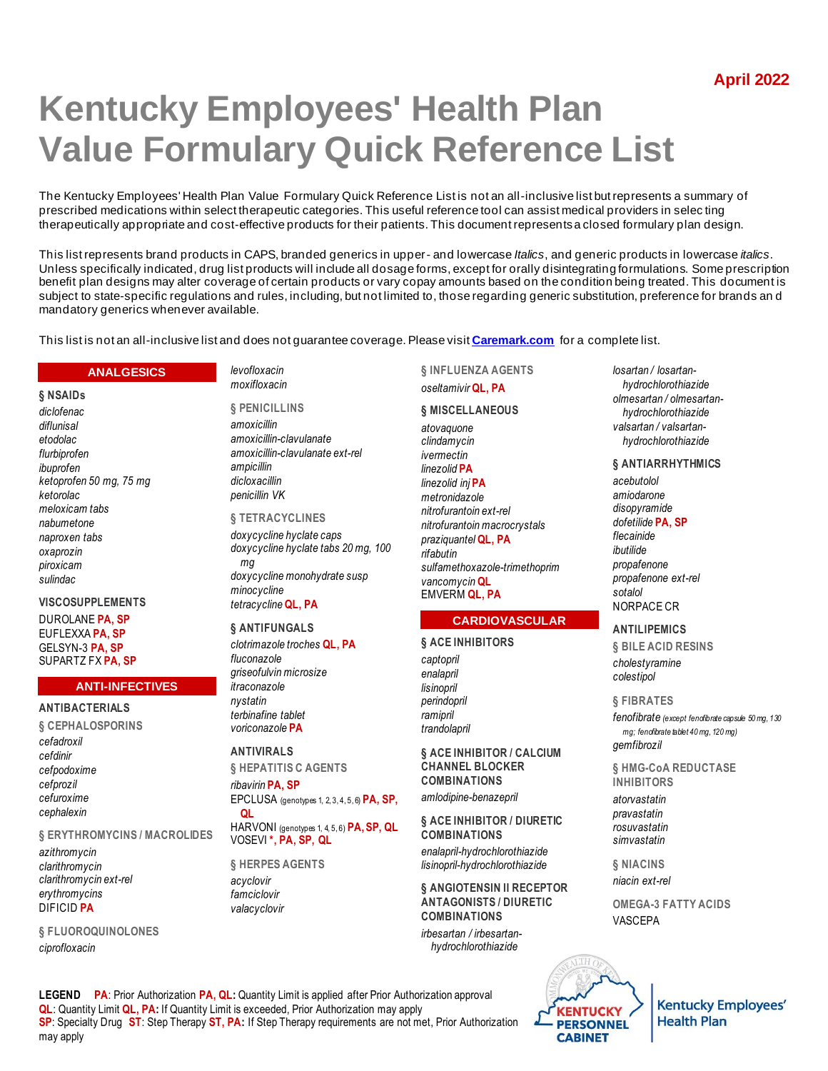# **Kentucky Employees' Health Plan Value Formulary Quick Reference List**

The Kentucky Employees' Health Plan Value Formulary Quick Reference List is not an all-inclusive list but represents a summary of prescribed medications within select therapeutic categories. This useful reference tool can assist medical providers in selec ting therapeutically appropriate and cost-effective products for their patients. This document represents a closed formulary plan design.

This list represents brand products in CAPS, branded generics in upper- and lowercase *Italics*, and generic products in lowercase *italics*. Unless specifically indicated, drug list products will include all dosage forms, except for orally disintegrating formulations. Some prescription benefit plan designs may alter coverage of certain products or vary copay amounts based on the condition being treated. This document is subject to state-specific regulations and rules, including, but not limited to, those regarding generic substitution, preference for brands an d mandatory generics whenever available.

This list is not an all-inclusive list and does not guarantee coverage. Please visit **[Caremark.com](https://www.caremark.com/)** for a complete list.

# **ANALGESICS**

**§ NSAIDs** *diclofenac diflunisal etodolac flurbiprofen ibuprofen ketoprofen 50 mg, 75 mg ketorolac meloxicam tabs nabumetone naproxen tabs oxaprozin piroxicam sulindac*

# **VISCOSUPPLEMENTS**

DUROLANE **PA, SP** EUFLEXXA **PA, SP** GELSYN-3 **PA, SP** SUPARTZ FX **PA, SP**

# **ANTI-INFECTIVES**

**ANTIBACTERIALS § CEPHALOSPORINS** *cefadroxil cefdinir cefpodoxime cefprozil cefuroxime cephalexin*

#### **§ ERYTHROMYCINS / MACROLIDES**

*azithromycin clarithromycin clarithromycin ext-rel erythromycins* DIFICID **PA**

**§ FLUOROQUINOLONES** *ciprofloxacin*

*levofloxacin moxifloxacin*

**§ PENICILLINS** *amoxicillin amoxicillin-clavulanate amoxicillin-clavulanate ext-rel ampicillin dicloxacillin penicillin VK*

#### **§ TETRACYCLINES**

*doxycycline hyclate caps doxycycline hyclate tabs 20 mg, 100 mg doxycycline monohydrate susp minocycline tetracycline* **QL, PA**

#### **§ ANTIFUNGALS**

*clotrimazole troches* **QL, PA** *fluconazole griseofulvin microsize itraconazole nystatin terbinafine tablet voriconazole* **PA**

# **ANTIVIRALS**

**§ HEPATITIS C AGENTS** *ribavirin* **PA, SP**

EPCLUSA (genotypes 1, 2, 3, 4, 5, 6) **PA, SP, QL** HARVONI (genotypes 1, 4, 5, 6) **PA, SP, QL**

VOSEVI **\*, PA, SP, QL**

**§ HERPES AGENTS** *acyclovir famciclovir valacyclovir*

**§ INFLUENZA AGENTS** *oseltamivir* **QL, PA**

#### **§ MISCELLANEOUS**

*atovaquone clindamycin ivermectin linezolid* **PA** *linezolid inj* **PA** *metronidazole nitrofurantoin ext-rel nitrofurantoin macrocrystals praziquantel* **QL, PA** *rifabutin sulfamethoxazole-trimethoprim vancomycin* **QL** EMVERM **QL, PA**

# **CARDIOVASCULAR**

#### **§ ACE INHIBITORS**

*captopril enalapril lisinopril perindopril ramipril trandolapril*

**§ ACE INHIBITOR / CALCIUM CHANNEL BLOCKER COMBINATIONS** *amlodipine-benazepril*

**§ ACE INHIBITOR / DIURETIC COMBINATIONS** *enalapril-hydrochlorothiazide lisinopril-hydrochlorothiazide*

**§ ANGIOTENSIN II RECEPTOR ANTAGONISTS / DIURETIC COMBINATIONS**

*irbesartan / irbesartanhydrochlorothiazide*

*losartan / losartanhydrochlorothiazide olmesartan / olmesartanhydrochlorothiazide valsartan / valsartanhydrochlorothiazide*

#### **§ ANTIARRHYTHMICS**

*acebutolol amiodarone disopyramide dofetilide* **PA, SP** *flecainide ibutilide propafenone propafenone ext-rel sotalol* NORPACE CR

# **ANTILIPEMICS**

**§ BILE ACID RESINS** *cholestyramine colestipol*

#### **§ FIBRATES**

*fenofibrate (except fenofibrate capsule 50 mg, 130 mg; fenofibrate tablet 40 mg, 120 mg) gemfibrozil*

**§ HMG-CoA REDUCTASE INHIBITORS**

*atorvastatin pravastatin rosuvastatin simvastatin*

**§ NIACINS** *niacin ext-rel*

**OMEGA-3 FATTY ACIDS** VASCEPA

**LEGEND PA**: Prior Authorization **PA, QL:** Quantity Limit is applied after Prior Authorization approval **QL**: Quantity Limit **QL, PA:** If Quantity Limit is exceeded, Prior Authorization may apply **SP**: Specialty Drug **ST**: Step Therapy **ST, PA:** If Step Therapy requirements are not met, Prior Authorization may apply



**Kentucky Employees' Health Plan**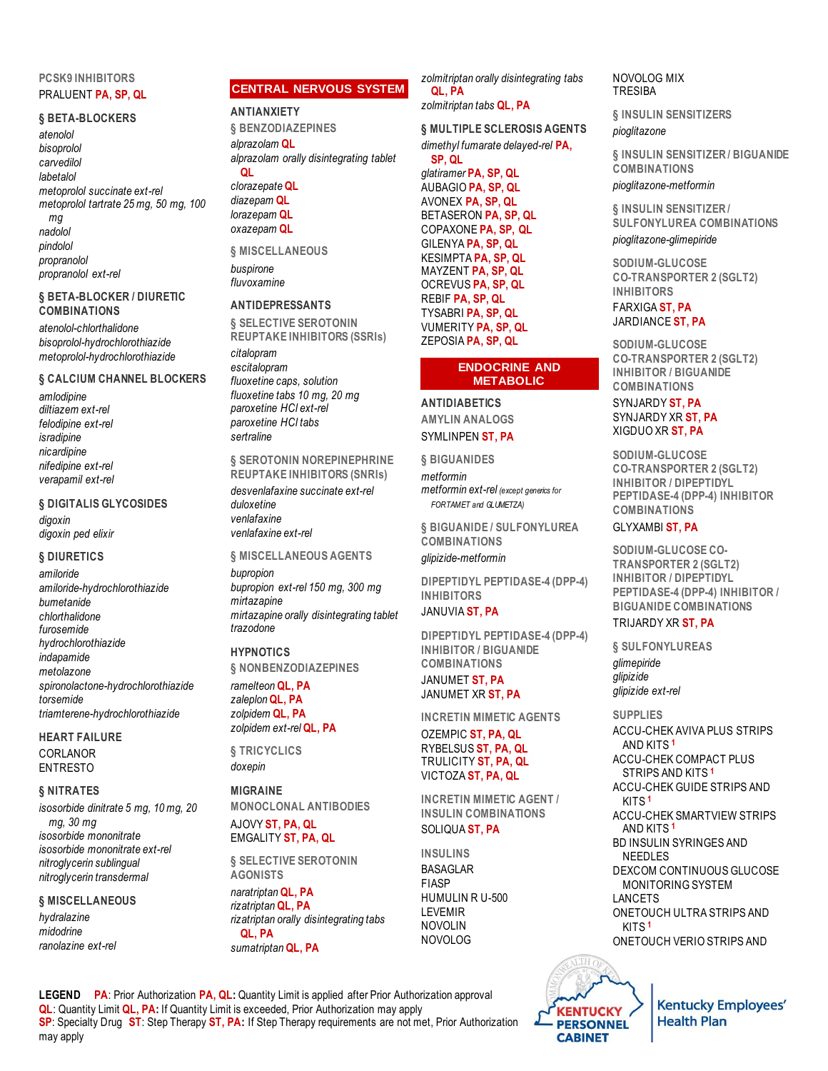# **PCSK9 INHIBITORS** PRALUENT **PA, SP, QL**

#### **§ BETA-BLOCKERS**

*atenolol bisoprolol carvedilol labetalol metoprolol succinate ext-rel metoprolol tartrate 25 mg, 50 mg, 100 mg nadolol pindolol propranolol propranolol ext-rel*

# **§ BETA-BLOCKER / DIURETIC COMBINATIONS**

*atenolol-chlorthalidone bisoprolol-hydrochlorothiazide metoprolol-hydrochlorothiazide*

# **§ CALCIUM CHANNEL BLOCKERS**

*amlodipine diltiazem ext-rel felodipine ext-rel isradipine nicardipine nifedipine ext-rel verapamil ext-rel*

# **§ DIGITALIS GLYCOSIDES**

*digoxin digoxin ped elixir*

# **§ DIURETICS**

*amiloride amiloride-hydrochlorothiazide bumetanide chlorthalidone furosemide hydrochlorothiazide indapamide metolazone spironolactone-hydrochlorothiazide torsemide triamterene-hydrochlorothiazide*

**HEART FAILURE** CORLANOR ENTRESTO

# **§ NITRATES**

*isosorbide dinitrate 5 mg, 10 mg, 20 mg, 30 mg isosorbide mononitrate isosorbide mononitrate ext-rel nitroglycerin sublingual nitroglycerin transdermal*

**§ MISCELLANEOUS** *hydralazine midodrine ranolazine ext-rel*

# **CENTRAL NERVOUS SYSTEM**

# **ANTIANXIETY**

**§ BENZODIAZEPINES** *alprazolam* **QL** *alprazolam orally disintegrating tablet* **QL** *clorazepate* **QL** *diazepam* **QL** *lorazepam* **QL** *oxazepam* **QL**

**§ MISCELLANEOUS** *buspirone fluvoxamine*

# **ANTIDEPRESSANTS**

**§ SELECTIVE SEROTONIN REUPTAKE INHIBITORS (SSRIs)** *citalopram escitalopram fluoxetine caps, solution fluoxetine tabs 10 mg, 20 mg paroxetine HCl ext-rel paroxetine HCl tabs sertraline*

**§ SEROTONIN NOREPINEPHRINE REUPTAKE INHIBITORS (SNRIs)** *desvenlafaxine succinate ext-rel duloxetine venlafaxine venlafaxine ext-rel*

**§ MISCELLANEOUS AGENTS** *bupropion bupropion ext-rel 150 mg, 300 mg mirtazapine mirtazapine orally disintegrating tablet trazodone*

# **HYPNOTICS**

**§ NONBENZODIAZEPINES**

*ramelteon* **QL, PA** *zaleplon* **QL, PA** *zolpidem* **QL, PA** *zolpidem ext-rel* **QL, PA**

**§ TRICYCLICS** *doxepin*

# **MIGRAINE**

**MONOCLONAL ANTIBODIES** AJOVY **ST, PA, QL** EMGALITY **ST, PA, QL**

**§ SELECTIVE SEROTONIN AGONISTS** *naratriptan* **QL, PA** *rizatriptan* **QL, PA** *rizatriptan orally disintegrating tabs* **QL, PA** *sumatriptan* **QL, PA**

*zolmitriptan orally disintegrating tabs* **QL, PA**

*zolmitriptan tabs* **QL, PA**

# **§ MULTIPLE SCLEROSIS AGENTS**

*dimethyl fumarate delayed-rel* **PA, SP, QL**

*glatiramer* **PA, SP, QL** AUBAGIO **PA, SP, QL** AVONEX **PA, SP, QL** BETASERON **PA, SP, QL** COPAXONE **PA, SP, QL** GILENYA **PA, SP, QL** KESIMPTA **PA, SP, QL** MAYZENT **PA, SP, QL** OCREVUS **PA, SP, QL** REBIF **PA, SP, QL** TYSABRI **PA, SP, QL** VUMERITY **PA, SP, QL** ZEPOSIA **PA, SP, QL**

#### **ENDOCRINE AND METABOLIC**

**ANTIDIABETICS AMYLIN ANALOGS** SYMLINPEN **ST, PA**

**§ BIGUANIDES** *metformin metformin ext-rel (except generics for FORTAMET and GLUMETZA)*

**§ BIGUANIDE / SULFONYLUREA COMBINATIONS** *glipizide-metformin*

**DIPEPTIDYL PEPTIDASE-4 (DPP-4) INHIBITORS**

# JANUVIA **ST, PA**

**DIPEPTIDYL PEPTIDASE-4 (DPP-4) INHIBITOR / BIGUANIDE COMBINATIONS** JANUMET **ST, PA**

JANUMET XR **ST, PA**

**INCRETIN MIMETIC AGENTS**

OZEMPIC **ST, PA, QL** RYBELSUS **ST, PA, QL** TRULICITY **ST, PA, QL** VICTOZA **ST, PA, QL**

**INCRETIN MIMETIC AGENT / INSULIN COMBINATIONS** SOLIQUA **ST, PA**

**INSULINS** BASAGLAR FIASP HUMULIN R U-500 LEVEMIR NOVOLIN NOVOLOG



**§ INSULIN SENSITIZERS** *pioglitazone*

**§ INSULIN SENSITIZER / BIGUANIDE COMBINATIONS** *pioglitazone-metformin*

**§ INSULIN SENSITIZER / SULFONYLUREA COMBINATIONS** *pioglitazone-glimepiride*

**SODIUM-GLUCOSE CO-TRANSPORTER 2 (SGLT2) INHIBITORS**

FARXIGA **ST, PA** JARDIANCE **ST, PA**

**SODIUM-GLUCOSE CO-TRANSPORTER 2 (SGLT2) INHIBITOR / BIGUANIDE COMBINATIONS** SYNJARDY **ST, PA** SYNJARDY XR **ST, PA** XIGDUO XR **ST, PA**

**SODIUM-GLUCOSE CO-TRANSPORTER 2 (SGLT2) INHIBITOR / DIPEPTIDYL PEPTIDASE-4 (DPP-4) INHIBITOR COMBINATIONS**

# GLYXAMBI **ST, PA**

**SODIUM-GLUCOSE CO-TRANSPORTER 2 (SGLT2) INHIBITOR / DIPEPTIDYL PEPTIDASE-4 (DPP-4) INHIBITOR / BIGUANIDE COMBINATIONS**

# TRIJARDY XR **ST, PA**

**§ SULFONYLUREAS** *glimepiride glipizide glipizide ext-rel*

#### **SUPPLIES**

ACCU-CHEK AVIVA PLUS STRIPS AND KITS **<sup>1</sup>** ACCU-CHEK COMPACT PLUS STRIPS AND KITS **<sup>1</sup>** ACCU-CHEK GUIDE STRIPS AND KITS **<sup>1</sup>** ACCU-CHEK SMARTVIEW STRIPS AND KITS **<sup>1</sup>** BD INSULIN SYRINGES AND NEEDLES DEXCOM CONTINUOUS GLUCOSE MONITORING SYSTEM LANCETS ONETOUCH ULTRA STRIPS AND KITS **<sup>1</sup>**

ONETOUCH VERIO STRIPS AND



**Kentucky Employees' Health Plan** 

**LEGEND PA**: Prior Authorization **PA, QL:** Quantity Limit is applied after Prior Authorization approval **QL**: Quantity Limit **QL, PA:** If Quantity Limit is exceeded, Prior Authorization may apply **SP**: Specialty Drug **ST**: Step Therapy **ST, PA:** If Step Therapy requirements are not met, Prior Authorization may apply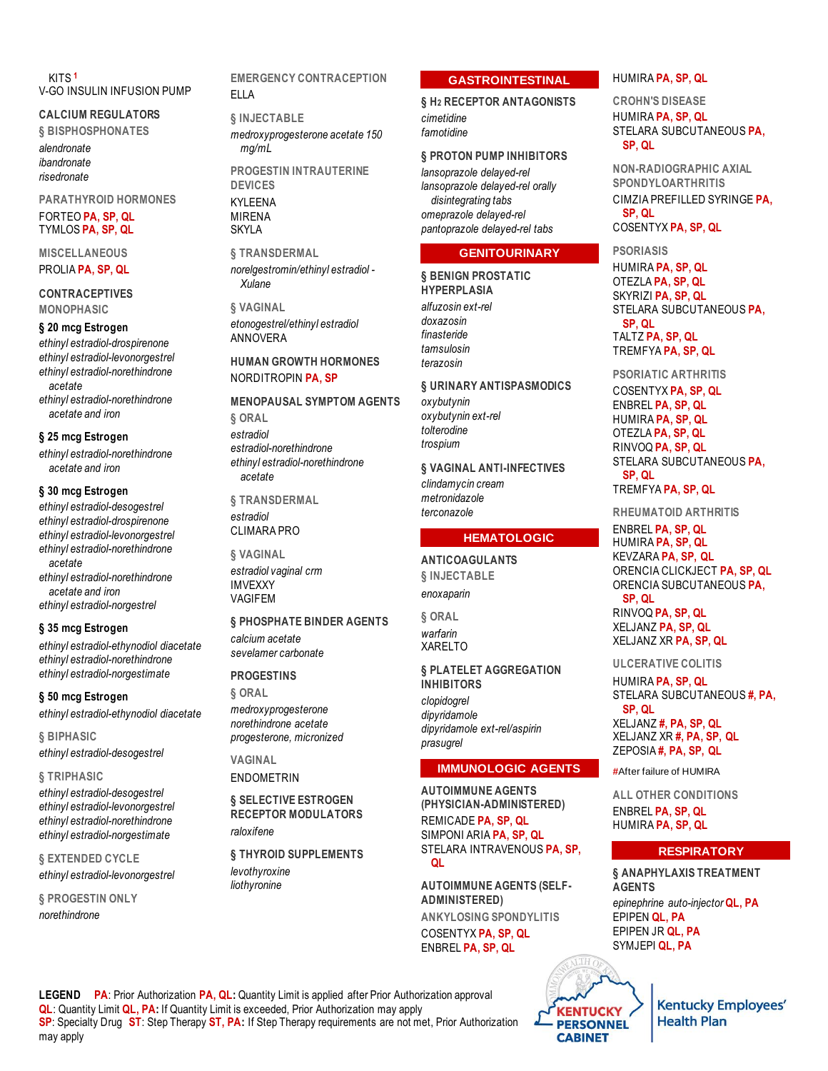KITS **<sup>1</sup>** V-GO INSULIN INFUSION PUMP

# **CALCIUM REGULATORS**

**§ BISPHOSPHONATES**

*alendronate ibandronate risedronate*

**PARATHYROID HORMONES** FORTEO **PA, SP, QL** TYMLOS **PA, SP, QL**

**MISCELLANEOUS** PROLIA **PA, SP, QL**

**CONTRACEPTIVES MONOPHASIC**

#### **§ 20 mcg Estrogen**

*ethinyl estradiol-drospirenone ethinyl estradiol-levonorgestrel ethinyl estradiol-norethindrone acetate*

*ethinyl estradiol-norethindrone acetate and iron*

## **§ 25 mcg Estrogen**

*ethinyl estradiol-norethindrone acetate and iron*

# **§ 30 mcg Estrogen**

*ethinyl estradiol-desogestrel ethinyl estradiol-drospirenone ethinyl estradiol-levonorgestrel ethinyl estradiol-norethindrone acetate*

*ethinyl estradiol-norethindrone acetate and iron ethinyl estradiol-norgestrel*

# **§ 35 mcg Estrogen**

*ethinyl estradiol-ethynodiol diacetate ethinyl estradiol-norethindrone ethinyl estradiol-norgestimate*

#### **§ 50 mcg Estrogen**

*ethinyl estradiol-ethynodiol diacetate*

**§ BIPHASIC** *ethinyl estradiol-desogestrel*

#### **§ TRIPHASIC**

*ethinyl estradiol-desogestrel ethinyl estradiol-levonorgestrel ethinyl estradiol-norethindrone ethinyl estradiol-norgestimate*

**§ EXTENDED CYCLE** *ethinyl estradiol-levonorgestrel*

**§ PROGESTIN ONLY** *norethindrone*

**EMERGENCY CONTRACEPTION** ELLA

# **§ INJECTABLE** *medroxyprogesterone acetate 150 mg/mL* **PROGESTIN INTRAUTERINE DEVICES** KYLEENA MIRENA SKYLA

**§ TRANSDERMAL** *norelgestromin/ethinyl estradiol - Xulane*

# **§ VAGINAL** *etonogestrel/ethinyl estradiol* ANNOVERA

# **HUMAN GROWTH HORMONES** NORDITROPIN **PA, SP**

# **MENOPAUSAL SYMPTOM AGENTS**

**§ ORAL** *estradiol estradiol-norethindrone ethinyl estradiol-norethindrone acetate*

**§ TRANSDERMAL** *estradiol* CLIMARA PRO

**§ VAGINAL** *estradiol vaginal crm* IMVEXXY VAGIFEM

#### **§ PHOSPHATE BINDER AGENTS**

*calcium acetate sevelamer carbonate*

# **PROGESTINS**

**§ ORAL** *medroxyprogesterone norethindrone acetate progesterone, micronized*

**VAGINAL** ENDOMETRIN

**§ SELECTIVE ESTROGEN RECEPTOR MODULATORS** *raloxifene*

**§ THYROID SUPPLEMENTS** *levothyroxine liothyronine*

# **GASTROINTESTINAL**

**§ H2 RECEPTOR ANTAGONISTS** *cimetidine famotidine*

# **§ PROTON PUMP INHIBITORS**

*lansoprazole delayed-rel lansoprazole delayed-rel orally disintegrating tabs omeprazole delayed-rel pantoprazole delayed-rel tabs*

#### **GENITOURINARY**

**§ BENIGN PROSTATIC HYPERPLASIA** *alfuzosin ext-rel doxazosin finasteride tamsulosin terazosin*

# **§ URINARY ANTISPASMODICS**

*oxybutynin oxybutynin ext-rel tolterodine trospium*

**§ VAGINAL ANTI-INFECTIVES** *clindamycin cream metronidazole terconazole*

# **HEMATOLOGIC**

# **ANTICOAGULANTS**

**§ INJECTABLE** *enoxaparin*

**§ ORAL** *warfarin* XARELTO

*prasugrel*

**§ PLATELET AGGREGATION INHIBITORS** *clopidogrel dipyridamole dipyridamole ext-rel/aspirin*

# **IMMUNOLOGIC AGENTS**

**AUTOIMMUNE AGENTS (PHYSICIAN-ADMINISTERED)** REMICADE **PA, SP, QL** SIMPONI ARIA **PA, SP, QL** STELARA INTRAVENOUS **PA, SP, QL**

**AUTOIMMUNE AGENTS (SELF-ADMINISTERED) ANKYLOSING SPONDYLITIS** COSENTYX **PA, SP, QL** ENBREL **PA, SP, QL**

# HUMIRA **PA, SP, QL**

**CROHN'S DISEASE** HUMIRA **PA, SP, QL** STELARA SUBCUTANEOUS **PA, SP, QL**

**NON-RADIOGRAPHIC AXIAL SPONDYLOARTHRITIS** CIMZIA PREFILLED SYRINGE **PA, SP, QL** COSENTYX **PA, SP, QL**

**PSORIASIS** HUMIRA **PA, SP, QL** OTEZLA **PA, SP, QL** SKYRIZI **PA, SP, QL** STELARA SUBCUTANEOUS **PA, SP, QL** TALTZ **PA, SP, QL** TREMFYA **PA, SP, QL**

**PSORIATIC ARTHRITIS** COSENTYX **PA, SP, QL** ENBREL **PA, SP, QL** HUMIRA **PA, SP, QL** OTEZLA **PA, SP, QL** RINVOQ **PA, SP, QL** STELARA SUBCUTANEOUS **PA, SP, QL** TREMFYA **PA, SP, QL**

**RHEUMATOID ARTHRITIS**

ENBREL **PA, SP, QL** HUMIRA **PA, SP, QL** KEVZARA **PA, SP, QL** ORENCIA CLICKJECT **PA, SP, QL** ORENCIA SUBCUTANEOUS **PA, SP, QL** RINVOQ **PA, SP, QL**

XELJANZ **PA, SP, QL** XELJANZ XR **PA, SP, QL**

**ULCERATIVE COLITIS** HUMIRA **PA, SP, QL** STELARA SUBCUTANEOUS **#, PA,** 

**SP, QL** XELJANZ **#, PA, SP, QL** XELJANZ XR **#, PA, SP, QL** ZEPOSIA **#, PA, SP, QL**

**#**After failure of HUMIRA

**ALL OTHER CONDITIONS** ENBREL **PA, SP, QL** HUMIRA **PA, SP, QL**

# **RESPIRATORY**

**§ ANAPHYLAXIS TREATMENT AGENTS** *epinephrine auto-injector* **QL, PA** EPIPEN **QL, PA** EPIPEN JR **QL, PA** SYMJEPI **QL, PA**

**LEGEND PA**: Prior Authorization **PA, QL:** Quantity Limit is applied after Prior Authorization approval **QL**: Quantity Limit **QL, PA:** If Quantity Limit is exceeded, Prior Authorization may apply **SP**: Specialty Drug **ST**: Step Therapy **ST, PA:** If Step Therapy requirements are not met, Prior Authorization may apply



**Kentucky Employees' Health Plan**